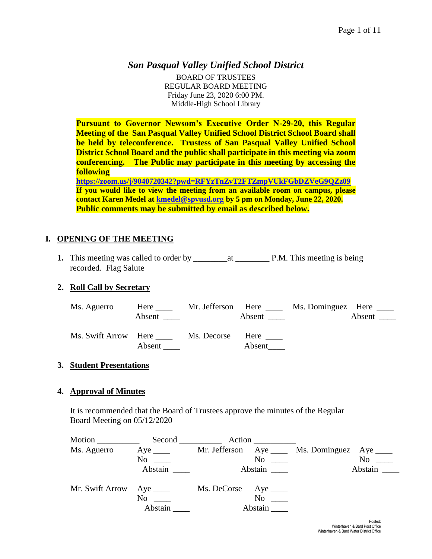# *San Pasqual Valley Unified School District*

BOARD OF TRUSTEES REGULAR BOARD MEETING Friday June 23, 2020 6:00 PM. Middle-High School Library

**Pursuant to Governor Newsom's Executive Order N-29-20, this Regular Meeting of the San Pasqual Valley Unified School District School Board shall be held by teleconference. Trustess of San Pasqual Valley Unified School District School Board and the public shall participate in this meeting via zoom conferencing. The Public may participate in this meeting by accessing the following <https://zoom.us/j/9040720342?pwd=RFYzTnZvT2FTZmpVUkFGbDZVeG9QZz09>**

**If you would like to view the meeting from an available room on campus, please contact Karen Medel at [kmedel@spvusd.org](mailto:kmedel@spvusd.org) by 5 pm on Monday, June 22, 2020. Public comments may be submitted by email as described below.** 

## **I. OPENING OF THE MEETING**

**1.** This meeting was called to order by \_\_\_\_\_\_\_\_at \_\_\_\_\_\_\_\_ P.M. This meeting is being recorded. Flag Salute

## **2. Roll Call by Secretary**

| Ms. Aguerro          | Here<br>Absent | Mr. Jefferson Here | Absent                | Ms. Dominguez Here _____ | Absent $\frac{ }{ }$ |
|----------------------|----------------|--------------------|-----------------------|--------------------------|----------------------|
| Ms. Swift Arrow Here | Absent         | Ms. Decorse        | Here $\_\_$<br>Absent |                          |                      |

## **3. Student Presentations**

#### **4. Approval of Minutes**

It is recommended that the Board of Trustees approve the minutes of the Regular Board Meeting on 05/12/2020

| Motion          |                           |                                                     |                         |
|-----------------|---------------------------|-----------------------------------------------------|-------------------------|
| Ms. Aguerro     | $Aye$ <sub>_____</sub>    | Mr. Jefferson $Aye$ <sub>____</sub>                 | Ms. Dominguez Aye _____ |
|                 | N <sub>0</sub>            | N <sub>0</sub>                                      | No                      |
|                 | Abstain                   |                                                     | Abstain                 |
| Mr. Swift Arrow | N <sub>0</sub><br>Abstain | Ms. DeCorse Aye ______<br>N <sub>0</sub><br>Abstain |                         |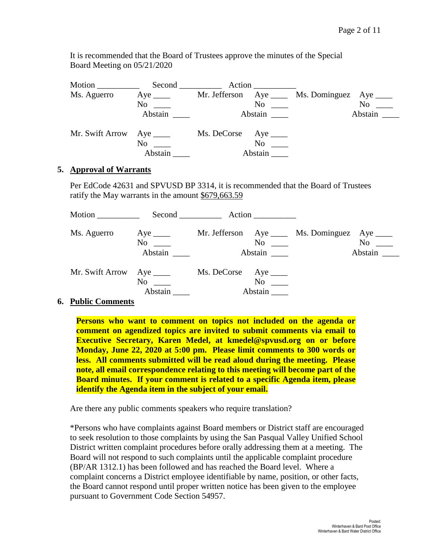It is recommended that the Board of Trustees approve the minutes of the Special Board Meeting on 05/21/2020

| Motion          | $Second$ <sub>____________</sub>                                                                                                                                                                                                  | Action                                                 |                             |
|-----------------|-----------------------------------------------------------------------------------------------------------------------------------------------------------------------------------------------------------------------------------|--------------------------------------------------------|-----------------------------|
| Ms. Aguerro     | Aye $\_\_$                                                                                                                                                                                                                        | $Aye$ <sub>_____</sub><br>Mr. Jefferson                | Ms. Dominguez<br>Aye $\_\_$ |
|                 | No new years of the New York of the New York of the New York of the New York of the New York of the New York o<br>New York of the New York of the New York of the New York of the New York of the New York of the New York of the | No                                                     | No                          |
|                 | Abstain                                                                                                                                                                                                                           | Abstain                                                | Abstain                     |
| Mr. Swift Arrow | Aye $\_\_$<br>N <sub>o</sub><br>Abstain                                                                                                                                                                                           | Ms. DeCorse<br>Aye $\_\_$<br>N <sub>0</sub><br>Abstain |                             |

#### **5. Approval of Warrants**

Per EdCode 42631 and SPVUSD BP 3314, it is recommended that the Board of Trustees ratify the May warrants in the amount \$679,663.59

|                           |                                    | Second Action                                   |                                                                         |
|---------------------------|------------------------------------|-------------------------------------------------|-------------------------------------------------------------------------|
| Ms. Aguerro               | Aye $\_\_\_\_\_\$<br>No<br>Abstain | No<br>Abstain                                   | Mr. Jefferson Aye _____ Ms. Dominguez Aye _____<br>$No \ \_$<br>Abstain |
| Mr. Swift Arrow Aye _____ | $No \ \_$<br>Abstain               | $Ms.$ DeCorse $Aye$ <sub>_____</sub><br>Abstain |                                                                         |

#### **6. Public Comments**

**Persons who want to comment on topics not included on the agenda or comment on agendized topics are invited to submit comments via email to Executive Secretary, Karen Medel, at kmedel@spvusd.org on or before Monday, June 22, 2020 at 5:00 pm. Please limit comments to 300 words or less. All comments submitted will be read aloud during the meeting. Please note, all email correspondence relating to this meeting will become part of the Board minutes. If your comment is related to a specific Agenda item, please identify the Agenda item in the subject of your email.**

Are there any public comments speakers who require translation?

\*Persons who have complaints against Board members or District staff are encouraged to seek resolution to those complaints by using the San Pasqual Valley Unified School District written complaint procedures before orally addressing them at a meeting. The Board will not respond to such complaints until the applicable complaint procedure (BP/AR 1312.1) has been followed and has reached the Board level. Where a complaint concerns a District employee identifiable by name, position, or other facts, the Board cannot respond until proper written notice has been given to the employee pursuant to Government Code Section 54957.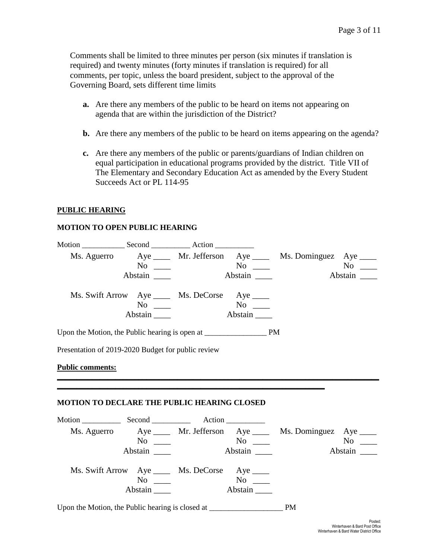Comments shall be limited to three minutes per person (six minutes if translation is required) and twenty minutes (forty minutes if translation is required) for all comments, per topic, unless the board president, subject to the approval of the Governing Board, sets different time limits

- **a.** Are there any members of the public to be heard on items not appearing on agenda that are within the jurisdiction of the District?
- **b.** Are there any members of the public to be heard on items appearing on the agenda?
- **c.** Are there any members of the public or parents/guardians of Indian children on equal participation in educational programs provided by the district. Title VII of The Elementary and Secondary Education Act as amended by the Every Student Succeeds Act or PL 114-95

#### **PUBLIC HEARING**

#### **MOTION TO OPEN PUBLIC HEARING**

|                                                                                   |                                                 |         | Ms. Aguerro Aye ____ Mr. Jefferson Aye ____ Ms. Dominguez Aye ____  |                  |
|-----------------------------------------------------------------------------------|-------------------------------------------------|---------|---------------------------------------------------------------------|------------------|
|                                                                                   | $\overline{\text{No}}$ $\overline{\phantom{0}}$ |         |                                                                     |                  |
|                                                                                   | Abstain                                         | Abstain |                                                                     | Abstain          |
|                                                                                   | Ms. Swift Arrow Aye _____ Ms. DeCorse Aye ____  |         |                                                                     |                  |
|                                                                                   | $No \ \_$                                       |         |                                                                     |                  |
|                                                                                   | Abstain $\_\_\_\_\$                             | Abstain |                                                                     |                  |
|                                                                                   |                                                 |         |                                                                     |                  |
| Presentation of 2019-2020 Budget for public review                                |                                                 |         |                                                                     |                  |
| <b>Public comments:</b>                                                           |                                                 |         |                                                                     |                  |
|                                                                                   |                                                 |         |                                                                     |                  |
|                                                                                   |                                                 |         |                                                                     |                  |
| <b>MOTION TO DECLARE THE PUBLIC HEARING CLOSED</b>                                |                                                 |         |                                                                     |                  |
|                                                                                   |                                                 |         |                                                                     |                  |
|                                                                                   |                                                 |         | Ms. Aguerro Aye _____ Mr. Jefferson Aye ____ Ms. Dominguez Aye ____ |                  |
|                                                                                   | $\overline{N_{0}}$ $\overline{\phantom{0}}$     |         |                                                                     | $\overline{N_0}$ |
|                                                                                   |                                                 |         |                                                                     |                  |
|                                                                                   | Ms. Swift Arrow Aye _____ Ms. DeCorse Aye ____  |         |                                                                     |                  |
|                                                                                   | $No \ \_$                                       |         |                                                                     |                  |
|                                                                                   | Abstain                                         | Abstain |                                                                     |                  |
| Upon the Motion, the Public hearing is closed at ________________________________ |                                                 |         | <b>PM</b>                                                           |                  |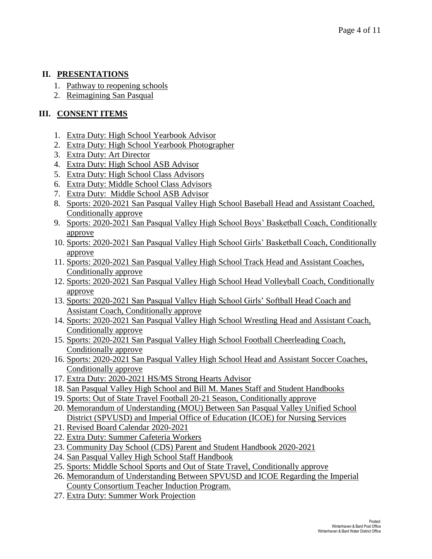## **II. PRESENTATIONS**

- 1. Pathway to reopening schools
- 2. Reimagining San Pasqual

# **III. CONSENT ITEMS**

- 1. Extra Duty: High School Yearbook Advisor
- 2. Extra Duty: High School Yearbook Photographer
- 3. Extra Duty: Art Director
- 4. Extra Duty: High School ASB Advisor
- 5. Extra Duty: High School Class Advisors
- 6. Extra Duty: Middle School Class Advisors
- 7. Extra Duty: Middle School ASB Advisor
- 8. Sports: 2020-2021 San Pasqual Valley High School Baseball Head and Assistant Coached, Conditionally approve
- 9. Sports: 2020-2021 San Pasqual Valley High School Boys' Basketball Coach, Conditionally approve
- 10. Sports: 2020-2021 San Pasqual Valley High School Girls' Basketball Coach, Conditionally approve
- 11. Sports: 2020-2021 San Pasqual Valley High School Track Head and Assistant Coaches, Conditionally approve
- 12. Sports: 2020-2021 San Pasqual Valley High School Head Volleyball Coach, Conditionally approve
- 13. Sports: 2020-2021 San Pasqual Valley High School Girls' Softball Head Coach and Assistant Coach, Conditionally approve
- 14. Sports: 2020-2021 San Pasqual Valley High School Wrestling Head and Assistant Coach, Conditionally approve
- 15. Sports: 2020-2021 San Pasqual Valley High School Football Cheerleading Coach, Conditionally approve
- 16. Sports: 2020-2021 San Pasqual Valley High School Head and Assistant Soccer Coaches, Conditionally approve
- 17. Extra Duty: 2020-2021 HS/MS Strong Hearts Advisor
- 18. San Pasqual Valley High School and Bill M. Manes Staff and Student Handbooks
- 19. Sports: Out of State Travel Football 20-21 Season, Conditionally approve
- 20. Memorandum of Understanding (MOU) Between San Pasqual Valley Unified School District (SPVUSD) and Imperial Office of Education (ICOE) for Nursing Services
- 21. Revised Board Calendar 2020-2021
- 22. Extra Duty: Summer Cafeteria Workers
- 23. Community Day School (CDS) Parent and Student Handbook 2020-2021
- 24. San Pasqual Valley High School Staff Handbook
- 25. Sports: Middle School Sports and Out of State Travel, Conditionally approve
- 26. Memorandum of Understanding Between SPVUSD and ICOE Regarding the Imperial County Consortium Teacher Induction Program.
- 27. Extra Duty: Summer Work Projection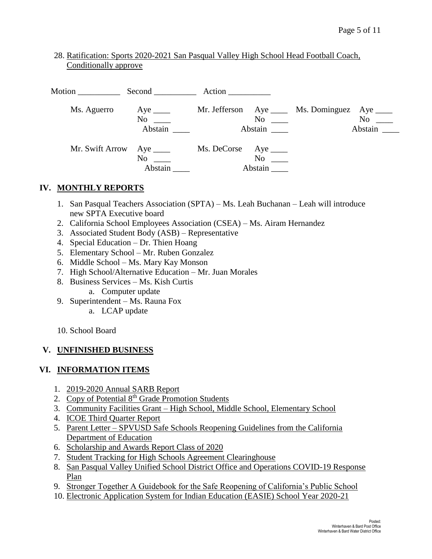## 28. Ratification: Sports 2020-2021 San Pasqual Valley High School Head Football Coach, Conditionally approve

| Motion          | $Second$ <sub>_____________</sub>              | Action      |                             |                                     |                                                                                                                                                                                                                                          |
|-----------------|------------------------------------------------|-------------|-----------------------------|-------------------------------------|------------------------------------------------------------------------------------------------------------------------------------------------------------------------------------------------------------------------------------------|
| Ms. Aguerro     | $Aye$ <sub>_____</sub><br>No<br>Abstain ______ |             | No<br>Abstain               | Mr. Jefferson Aye Ms. Dominguez Aye | No note that the set of the set of the set of the set of the set of the set of the set of the set of the set of the set of the set of the set of the set of the set of the set of the set of the set of the set of the set of<br>Abstain |
| Mr. Swift Arrow | No<br>Abstain                                  | Ms. DeCorse | Aye $\_\_$<br>No<br>Abstain |                                     |                                                                                                                                                                                                                                          |

## **IV. MONTHLY REPORTS**

- 1. San Pasqual Teachers Association (SPTA) Ms. Leah Buchanan Leah will introduce new SPTA Executive board
- 2. California School Employees Association (CSEA) Ms. Airam Hernandez
- 3. Associated Student Body (ASB) Representative
- 4. Special Education Dr. Thien Hoang
- 5. Elementary School Mr. Ruben Gonzalez
- 6. Middle School Ms. Mary Kay Monson
- 7. High School/Alternative Education Mr. Juan Morales
- 8. Business Services Ms. Kish Curtis
	- a. Computer update
- 9. Superintendent Ms. Rauna Fox
	- a. LCAP update
- 10. School Board

## **V. UNFINISHED BUSINESS**

## **VI. INFORMATION ITEMS**

- 1. 2019-2020 Annual SARB Report
- 2. Copy of Potential  $8<sup>th</sup>$  Grade Promotion Students
- 3. Community Facilities Grant High School, Middle School, Elementary School
- 4. ICOE Third Quarter Report
- 5. Parent Letter SPVUSD Safe Schools Reopening Guidelines from the California Department of Education
- 6. Scholarship and Awards Report Class of 2020
- 7. Student Tracking for High Schools Agreement Clearinghouse
- 8. San Pasqual Valley Unified School District Office and Operations COVID-19 Response Plan
- 9. Stronger Together A Guidebook for the Safe Reopening of California's Public School
- 10. Electronic Application System for Indian Education (EASIE) School Year 2020-21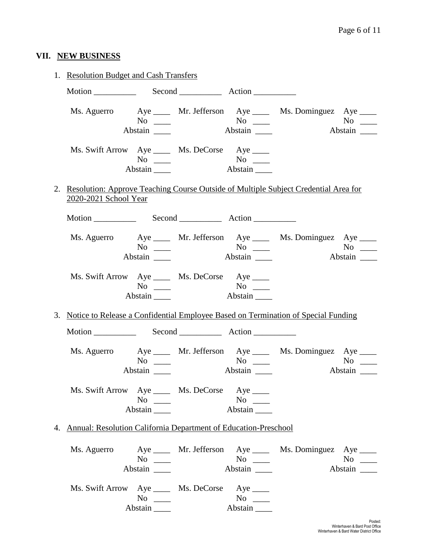# **VII. NEW BUSINESS**

| 1. Resolution Budget and Cash Transfers                                                                         |                                  |                              |                                                            |                                                                                               |                      |
|-----------------------------------------------------------------------------------------------------------------|----------------------------------|------------------------------|------------------------------------------------------------|-----------------------------------------------------------------------------------------------|----------------------|
|                                                                                                                 |                                  |                              |                                                            |                                                                                               |                      |
|                                                                                                                 | $No \ \_$                        |                              |                                                            | Ms. Aguerro Aye _____ Mr. Jefferson Aye _____ Ms. Dominguez Aye ____                          | $No \ \_$<br>Abstain |
| Ms. Swift Arrow Aye _____ Ms. DeCorse Aye ____                                                                  | Abstain                          | $No \_\_\_\_$ No $\_\_\_\_\$ | Abstain                                                    |                                                                                               |                      |
| 2. Resolution: Approve Teaching Course Outside of Multiple Subject Credential Area for<br>2020-2021 School Year |                                  |                              |                                                            |                                                                                               |                      |
|                                                                                                                 |                                  |                              |                                                            |                                                                                               |                      |
|                                                                                                                 | $No \ \_$<br>Abstain             |                              | $N$ o $\_\_$                                               | Ms. Aguerro Aye ____ Mr. Jefferson Aye ____ Ms. Dominguez Aye ____                            | $No \ \_$<br>Abstain |
| Ms. Swift Arrow Aye _____ Ms. DeCorse Aye ____                                                                  | $No \ \_$<br>Abstain $\_\_\_\_\$ |                              | $\overline{\text{No}}$ $\overline{\phantom{0}}$<br>Abstain |                                                                                               |                      |
| 3. Notice to Release a Confidential Employee Based on Termination of Special Funding                            |                                  |                              |                                                            |                                                                                               |                      |
|                                                                                                                 |                                  |                              |                                                            |                                                                                               |                      |
|                                                                                                                 | $No \ \_$                        |                              | $No \ \_$                                                  | Ms. Aguerro Aye _____ Mr. Jefferson Aye ____ Ms. Dominguez Aye ____<br>$\mathbf{A}\mathbf{b}$ | $No \ \_$<br>Abstain |
| Ms. Swift Arrow Aye _____ Ms. DeCorse Aye ____                                                                  | $No \ \_$<br>Abstain             |                              | $No \ \_$<br>Abstain                                       |                                                                                               |                      |
| 4. Annual: Resolution California Department of Education-Preschool                                              |                                  |                              |                                                            |                                                                                               |                      |
| Ms. Aguerro                                                                                                     | $No \ \_$<br>Abstain             |                              | $No \ \_$<br>Abstain                                       | Aye _____ Mr. Jefferson Aye ____ Ms. Dominguez Aye ____                                       | $No \ \_$<br>Abstain |
| Ms. Swift Arrow Aye _____ Ms. DeCorse Aye ____                                                                  | $No \ \_$<br>Abstain             |                              | $No \ \_$<br>Abstain                                       |                                                                                               |                      |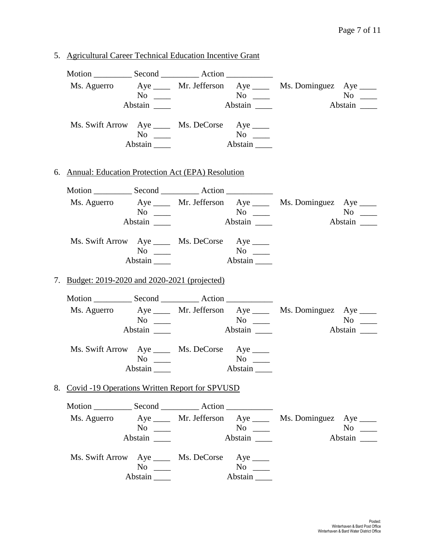5. Agricultural Career Technical Education Incentive Grant Motion Second Action Ms. Aguerro Aye \_\_\_\_ Mr. Jefferson Aye \_\_\_\_ Ms. Dominguez Aye \_\_\_\_  $No$   $No$   $No$   $No$   $No$ Abstain **Abstain Abstain Abstain** Ms. Swift Arrow Aye \_\_\_\_ Ms. DeCorse Aye \_\_\_\_ No \_\_\_\_ No \_\_\_ Abstain \_\_\_\_ Abstain \_\_\_\_ 6. Annual: Education Protection Act (EPA) Resolution Motion \_\_\_\_\_\_\_\_\_\_\_ Second \_\_\_\_\_\_\_\_\_\_\_ Action \_\_\_\_\_\_ Ms. Aguerro Aye Mr. Jefferson Aye Ms. Dominguez Aye No \_\_\_ No \_\_ No \_\_ No \_\_ No \_\_ Abstain \_\_\_\_ Abstain \_\_\_ Abstain \_\_\_ Abstain \_\_\_ Ms. Swift Arrow Aye \_\_\_\_ Ms. DeCorse Aye \_\_\_\_ No \_\_\_\_ No \_\_\_ Abstain \_\_\_\_\_ Abstain \_\_\_\_ 7. Budget: 2019-2020 and 2020-2021 (projected) Motion \_\_\_\_\_\_\_\_\_\_ Second \_\_\_\_\_\_\_\_\_\_ Action \_\_\_\_\_\_\_\_\_\_\_ Ms. Aguerro Aye \_\_\_\_ Mr. Jefferson Aye \_\_\_\_ Ms. Dominguez Aye \_\_\_\_ No \_\_\_ No \_\_ No \_\_ No \_\_ No \_\_ Abstain Abstain **Abstain Abstain** Abstain **Abstain** 2 Ms. Swift Arrow Aye \_\_\_\_ Ms. DeCorse Aye \_\_\_\_ No \_\_\_\_ No \_\_\_\_ Abstain \_\_\_\_ Abstain \_\_\_\_ 8. Covid -19 Operations Written Report for SPVUSD Motion \_\_\_\_\_\_\_\_\_\_ Second \_\_\_\_\_\_\_\_\_\_ Action \_\_\_\_\_\_\_\_\_\_\_\_ Ms. Aguerro Aye Mr. Jefferson Aye Ms. Dominguez Aye No \_\_\_ No \_\_ No \_\_ No \_\_ No \_\_ Abstain \_\_\_\_ Abstain \_\_\_ Abstain \_\_\_ Abstain \_\_\_\_ Ms. Swift Arrow Aye \_\_\_\_ Ms. DeCorse Aye \_\_\_\_ No \_\_\_\_ No \_\_\_\_ Abstain \_\_\_\_\_ Abstain \_\_\_\_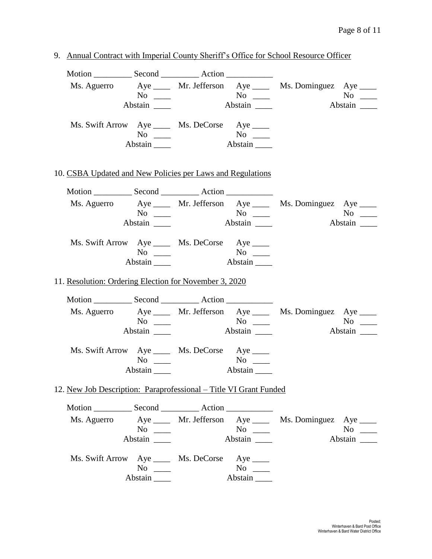| 9. Annual Contract with Imperial County Sheriff's Office for School Resource Officer |                      |                                                                                                                                                                                                                                                                                                                                                                                                                                 |                                                                                             |                                                                      |                               |
|--------------------------------------------------------------------------------------|----------------------|---------------------------------------------------------------------------------------------------------------------------------------------------------------------------------------------------------------------------------------------------------------------------------------------------------------------------------------------------------------------------------------------------------------------------------|---------------------------------------------------------------------------------------------|----------------------------------------------------------------------|-------------------------------|
|                                                                                      | Abstain $\_\_\_\_\$  |                                                                                                                                                                                                                                                                                                                                                                                                                                 | $\begin{array}{ccc}\n\text{No} & \text{No} & \text{No} & \text{No}\n\end{array}$<br>Abstain | Ms. Aguerro Aye _____ Mr. Jefferson Aye _____ Ms. Dominguez Aye ____ | Abstain                       |
| Ms. Swift Arrow Aye _____ Ms. DeCorse Aye ____                                       | $No \ \_$<br>Abstain | $N$ o                                                                                                                                                                                                                                                                                                                                                                                                                           | Abstain $\frac{1}{\sqrt{1-\frac{1}{2}}\sqrt{1-\frac{1}{2}}\left(1-\frac{1}{2}\right)}$      |                                                                      |                               |
| 10. CSBA Updated and New Policies per Laws and Regulations                           |                      |                                                                                                                                                                                                                                                                                                                                                                                                                                 |                                                                                             |                                                                      |                               |
|                                                                                      |                      |                                                                                                                                                                                                                                                                                                                                                                                                                                 |                                                                                             |                                                                      |                               |
|                                                                                      |                      | $\mathrm{No}$ $\mathrm{No}$ $\mathrm{No}$ $\mathrm{\_}$                                                                                                                                                                                                                                                                                                                                                                         | Abstain                                                                                     | Ms. Aguerro Aye ____ Mr. Jefferson Aye ____ Ms. Dominguez Aye ____   | Abstain                       |
| Ms. Swift Arrow Aye _____ Ms. DeCorse Aye ____                                       | $No \_$<br>Abstain   |                                                                                                                                                                                                                                                                                                                                                                                                                                 | Abstain                                                                                     |                                                                      |                               |
| 11. Resolution: Ordering Election for November 3, 2020                               |                      |                                                                                                                                                                                                                                                                                                                                                                                                                                 |                                                                                             |                                                                      |                               |
|                                                                                      |                      |                                                                                                                                                                                                                                                                                                                                                                                                                                 |                                                                                             |                                                                      |                               |
|                                                                                      |                      | $No \ \_\_\_\_$ No $\_\_\_\_\_\$                                                                                                                                                                                                                                                                                                                                                                                                | $\overline{A}$ bstain $\overline{\phantom{a}}$                                              | Ms. Aguerro Aye ____ Mr. Jefferson Aye ____ Ms. Dominguez Aye ____   | $No \_\_$<br>Abstain <u>I</u> |
| Ms. Swift Arrow Aye _____ Ms. DeCorse Aye ____                                       | Abstain $\_\_\_\_\$  | $\frac{1}{\sqrt{1-\frac{1}{2}}}\frac{1}{\sqrt{1-\frac{1}{2}}}\frac{1}{\sqrt{1-\frac{1}{2}}}\frac{1}{\sqrt{1-\frac{1}{2}}}\frac{1}{\sqrt{1-\frac{1}{2}}}\frac{1}{\sqrt{1-\frac{1}{2}}}\frac{1}{\sqrt{1-\frac{1}{2}}}\frac{1}{\sqrt{1-\frac{1}{2}}}\frac{1}{\sqrt{1-\frac{1}{2}}}\frac{1}{\sqrt{1-\frac{1}{2}}}\frac{1}{\sqrt{1-\frac{1}{2}}}\frac{1}{\sqrt{1-\frac{1}{2}}}\frac{1}{\sqrt{1-\frac{1}{2}}}\frac{1}{\sqrt{1-\frac{$ | $No \t —$<br>Abstain                                                                        |                                                                      |                               |
| 12. New Job Description: Paraprofessional – Title VI Grant Funded                    |                      |                                                                                                                                                                                                                                                                                                                                                                                                                                 |                                                                                             |                                                                      |                               |
|                                                                                      |                      |                                                                                                                                                                                                                                                                                                                                                                                                                                 |                                                                                             |                                                                      |                               |
| Ms. Aguerro                                                                          | $No \ \_$<br>Abstain |                                                                                                                                                                                                                                                                                                                                                                                                                                 | $\overline{N_{0}}$<br>Abstain                                                               | Aye _____ Mr. Jefferson Aye ____ Ms. Dominguez Aye ____              | $No \ \_$<br>Abstain _______  |
| Ms. Swift Arrow Aye _____ Ms. DeCorse Aye ____                                       | $No \_$<br>Abstain   |                                                                                                                                                                                                                                                                                                                                                                                                                                 | $No \ \_$<br>Abstain                                                                        |                                                                      |                               |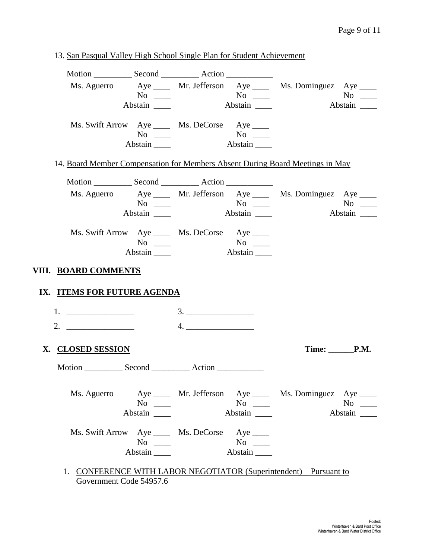|                             |                  |                                                |           | Ms. Aguerro Aye ____ Mr. Jefferson Aye ____ Ms. Dominguez Aye ____            |
|-----------------------------|------------------|------------------------------------------------|-----------|-------------------------------------------------------------------------------|
|                             | $No \ \_$        |                                                |           | $No \_$                                                                       |
|                             | Abstain          |                                                |           | Abstain _______                                                               |
|                             |                  | Ms. Swift Arrow Aye _____ Ms. DeCorse Aye ____ |           |                                                                               |
|                             |                  |                                                |           |                                                                               |
|                             | Abstain          |                                                |           |                                                                               |
|                             |                  |                                                |           | 14. Board Member Compensation for Members Absent During Board Meetings in May |
|                             |                  |                                                |           |                                                                               |
|                             |                  |                                                |           | Ms. Aguerro Aye _____ Mr. Jefferson Aye _____ Ms. Dominguez Aye ____          |
|                             |                  |                                                |           | $No \ \_$                                                                     |
|                             | Abstain $\qquad$ |                                                |           | Abstain _______                                                               |
|                             |                  | Ms. Swift Arrow Aye _____ Ms. DeCorse Aye ____ |           |                                                                               |
|                             | $No \ \_$        |                                                |           |                                                                               |
|                             | Abstain          |                                                | Abstain   |                                                                               |
| VIII. BOARD COMMENTS        |                  |                                                |           |                                                                               |
|                             |                  |                                                |           |                                                                               |
| IX. ITEMS FOR FUTURE AGENDA |                  |                                                |           |                                                                               |
|                             |                  |                                                |           |                                                                               |
| 2. $\qquad \qquad$          |                  | 4.                                             |           |                                                                               |
|                             |                  |                                                |           |                                                                               |
| X. CLOSED SESSION           |                  |                                                |           | Time: <b>P.M.</b>                                                             |
| Ms. Aguerro                 |                  |                                                |           |                                                                               |
|                             | $No \ \_$        |                                                | $No \_\_$ | Aye _____ Mr. Jefferson Aye ____ Ms. Dominguez Aye ____<br>$No \ \_$          |
|                             | Abstain          |                                                | Abstain   | Abstain                                                                       |
|                             |                  |                                                |           |                                                                               |
|                             | $No \_$          | Ms. Swift Arrow Aye _____ Ms. DeCorse Aye ____ | $No \_$   |                                                                               |

1. CONFERENCE WITH LABOR NEGOTIATOR (Superintendent) – Pursuant to Government Code 54957.6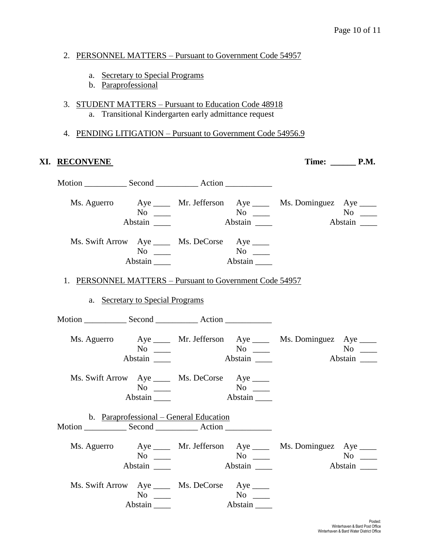#### 2. PERSONNEL MATTERS – Pursuant to Government Code 54957

- a. Secretary to Special Programs
- b. Paraprofessional
- 3. STUDENT MATTERS Pursuant to Education Code 48918 a. Transitional Kindergarten early admittance request

#### 4. PENDING LITIGATION – Pursuant to Government Code 54956.9

#### **XI. RECONVENE Time: \_\_\_\_\_\_ P.M.**

Motion Second Action Ms. Aguerro Aye Mr. Jefferson Aye Ms. Dominguez Aye Ms. Dominguez Aye Ms. Dominguez Aye Mo No \_\_\_\_ No \_\_\_ No \_\_\_ No \_\_\_ Abstain Louis Abstain Abstain Abstain Abstain Abstain Louis Abstain Abstain Abstain Louis Abstain Abstain Abstain Abstain Abstain Abstain Abstain Abstain Abstain Abstain Abstain Abstain Abstain Abstain Abstain Abstain Abst Ms. Swift Arrow Aye \_\_\_\_ Ms. DeCorse Aye \_\_\_\_ No \_\_\_\_ No \_\_\_ Abstain \_\_\_\_\_ Abstain \_\_\_\_ 1. PERSONNEL MATTERS – Pursuant to Government Code 54957 a. Secretary to Special Programs Motion Second Action Ms. Aguerro Aye \_\_\_\_ Mr. Jefferson Aye \_\_\_\_ Ms. Dominguez Aye \_\_\_\_ No \_\_\_\_ No \_\_\_\_ No \_\_\_\_ Abstain Abstain Abstain Abstain Abstain Abstain Abstain Abstain Abstain Abstain Abstain Abstain Abstain Abstain Abstain Abstain Abstain Abstain Abstain Abstain Abstain Abstain Abstain Abstain Abstain Abstain Abstain Abstai Ms. Swift Arrow Aye \_\_\_\_ Ms. DeCorse Aye \_\_\_\_ No \_\_\_\_ No \_\_\_ Abstain \_\_\_\_\_ Abstain \_\_\_\_ b. Paraprofessional – General Education Motion \_\_\_\_\_\_\_\_\_\_\_\_\_\_ Second \_\_\_\_\_\_\_\_\_\_\_\_\_\_\_ Action \_\_\_\_\_\_\_\_\_\_\_\_\_\_\_\_\_\_\_\_\_\_\_\_\_\_\_\_ Ms. Aguerro Aye \_\_\_\_ Mr. Jefferson Aye \_\_\_\_ Ms. Dominguez Aye \_\_\_\_ No \_\_\_ No \_\_ No \_\_ No \_\_ No \_\_ Abstain \_\_\_\_ Abstain \_\_\_ Abstain \_\_\_ Abstain \_\_\_ Ms. Swift Arrow Aye \_\_\_\_ Ms. DeCorse Aye \_\_\_\_ No \_\_\_ No \_\_ Abstain \_\_\_\_ Abstain \_\_\_\_